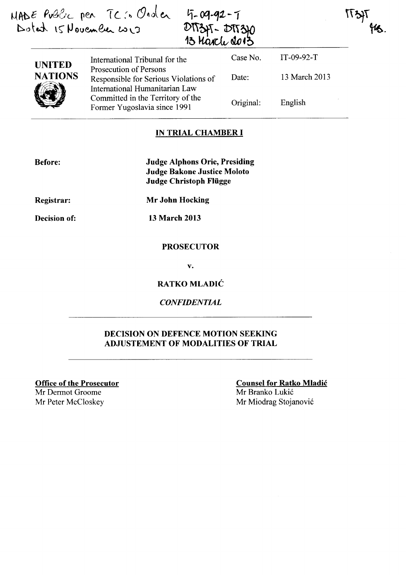$MABC$  Pvalic per TC:  $C$ nder  $\mathcal{D}$ otat  $15$ Povember  $\omega_{13}$ 

4-09-92-7<br>DTT345-DTT340<br>13 Marche 2013

International Tribunal for the Prosecution of Persons Responsible for Serious Violations of International Humanitarian Law Committed in the Territory of the Former Yugoslavia since 1991 Case No. Date: Original: IT-09-92-T 13 March 2013 English

**IT3** 

### IN TRIAL CHAMBER **I**

| <b>Before:</b>    | <b>Judge Alphons Orie, Presiding</b> |
|-------------------|--------------------------------------|
|                   | <b>Judge Bakone Justice Moloto</b>   |
|                   | Judge Christoph Flügge               |
| <b>Registrar:</b> | Mr John Hocking                      |

Decision of:

UNITED NATIONS

 $\bigcirc$ 

13 March 2013

### PROSECUTOR

v.

RATKO MLADIC

*CONFIDENTIAL* 

### DECISION ON DEFENCE MOTION SEEKING ADJUSTEMENT OF MODALITIES OF TRIAL

Office of the Prosecutor Mr Dermot Groome

Counsel for Ratko Mladic

Mr Branko Lukic Mr Peter McCloskey Mr Miodrag Stojanović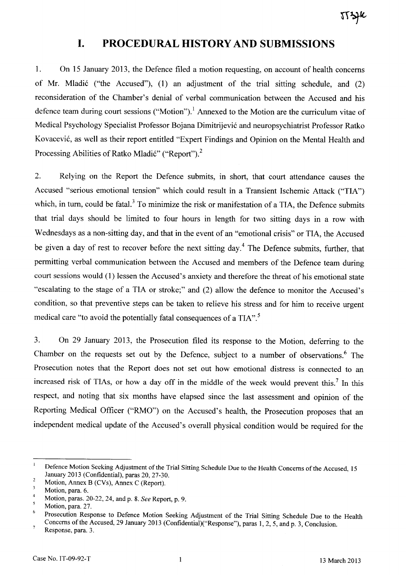# **I. PROCEDURAL HISTORY AND SUBMISSIONS**

1. On 15 January 2013, the Defence filed a motion requesting, on account of health concerns of Mr. Mladic ("the Accused"), (1) an adjustment of the trial sitting schedule, and (2) reconsideration of the Chamber's denial of verbal communication between the Accused and his defence team during court sessions ("Motion").<sup>1</sup> Annexed to the Motion are the curriculum vitae of Medical Psychology Specialist Professor Bojana Dimitrijevic and neuropsychiatrist Professor Ratko Kovacevic, as well as their report entitled "Expert Findings and Opinion on the Mental Health and Processing Abilities of Ratko Mladić" ("Report").<sup>2</sup>

2. Relying on the Report the Defence submits, in short, that court attendance causes the Accused "serious emotional tension" which could result in a Transient Ischemic Attack ("TIN') which, in turn, could be fatal.<sup>3</sup> To minimize the risk or manifestation of a TIA, the Defence submits that trial days should be limited to four hours in length for two sitting days in a row with Wednesdays as a non-sitting day, and that in the event of an "emotional crisis" or TIA, the Accused be given a day of rest to recover before the next sitting day.<sup>4</sup> The Defence submits, further, that permitting verbal communication between the Accused and members of the Defence team during court sessions would (1) lessen the Accused's anxiety and therefore the threat of his emotional state "escalating to the stage of a TIA or stroke;" and (2) allow the defence to monitor the Accused's condition, so that preventive steps can be taken to relieve his stress and for him to receive urgent medical care "to avoid the potentially fatal consequences of a TIA".<sup>5</sup>

3. On 29 January 2013, the Prosecution filed its response to the Motion, deferring to the Chamber on the requests set out by the Defence, subject to a number of observations.<sup>6</sup> The Prosecution notes that the Report does not set out how emotional distress is connected to an increased risk of TIAs, or how a day off in the middle of the week would prevent this.<sup>7</sup> In this respect, and noting that six months have elapsed since the last assessment and opinion of the Reporting Medical Officer ("RMO") on the Accused's health, the Prosecution proposes that an independent medical update of the Accused's overall physical condition would be required for the

 $\mathbf{I}$ Defence Motion Seeking Adjustment of the Trial Sitting Schedule Due to the Health Concerns of the Accused, 15 January 2013 (Confidential), paras 20, 27-30.  $\overline{c}$ 

Motion, Annex B (CVs), Annex C (Report).

 $\mathfrak z$ Motion, para. 6.

<sup>4</sup>  Motion, paras. 20-22, 24, and p. 8. *See* Report, p. 9.  $\mathfrak{s}$ 

Motion, para. 27.

<sup>6</sup>  Prosecution Response to Defence Motion Seeking Adjustment of the Trial Sitting Schedule Due to the Health Concerns of the Accused, 29 January 2013 (Confidential)("Response"), paras 1,2,5, and p. 3, Conclusion.  $\overline{7}$ 

Response, para. 3.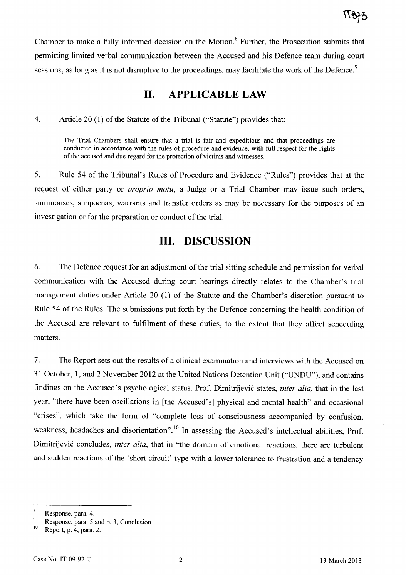Chamber to make a fully informed decision on the Motion.8 Further, the Prosecution submits that permitting limited verbal communication between the Accused and his Defence team during court sessions, as long as it is not disruptive to the proceedings, may facilitate the work of the Defence.<sup>9</sup>

## **II. APPLICABLE LAW**

4. Article 20 (1) of the Statute of the Tribunal ("Statute") provides that:

The Trial Chambers shall ensure that a trial is fair and expeditious and that proceedings are conducted in accordance with the rules of procedure and evidence, with full respect for the rights of the accused and due regard for the protection of victims and witnesses.

5. Rule 54 of the Tribunal's Rules of Procedure and Evidence ("Rules") provides that at the request of either party or *proprio motu,* a Judge or a Trial Chamber may issue such orders, summonses, subpoenas, warrants and transfer orders as may be necessary for the purposes of an investigation or for the preparation or conduct of the trial.

## **III. DISCUSSION**

6. The Defence request for an adjustment of the trial sitting schedule and permission for verbal communication with the Accused during court hearings directly relates to the Chamber's trial management duties under Article 20 (1) of the Statute and the Chamber's discretion pursuant to Rule 54 of the Rules. The submissions put forth by the Defence concerning the health condition of the Accused are relevant to fulfilment of these duties, to the extent that they affect scheduling matters.

7. The Report sets out the results of a clinical examination and interviews with the Accused on 31 October, 1, and 2 November 2012 at the United Nations Detention Unit ("VNDU"), and contains findings on the Accused's psychological status. Prof. Dimitrijevic states, *inter alia,* that in the last year, "there have been oscillations in [the Accused's] physical and mental health" and occasional "crises", which take the form of "complete loss of consciousness accompanied by confusion, weakness, headaches and disorientation".<sup>10</sup> In assessing the Accused's intellectual abilities, Prof. Dimitrijevic concludes, *inter alia,* that in "the domain of emotional reactions, there are turbulent and sudden reactions of the 'short circuit' type with a lower tolerance to frustration and a tendency

Response, para. 4.

 $P_{\text{10}}^9$  Response, para. 5 and p. 3, Conclusion.<br>
Report, p. 4, para. 2.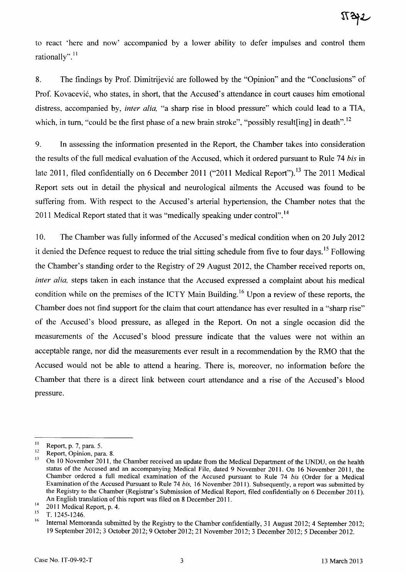to react 'here and now' accompanied by a lower ability to defer impulses and control them rationally". $^{11}$ 

8. The findings by Prof. Dimitrijevic are followed by the "Opinion" and the "Conclusions" of Prof. Kovacević, who states, in short, that the Accused's attendance in court causes him emotional distress, accompanied by, *inter alia,* "a sharp rise in blood pressure" which could lead to a TIA, which, in turn, "could be the first phase of a new brain stroke", "possibly result [ing] in death".<sup>12</sup>

9. In assessing the information presented in the Report, the Chamber takes into consideration the results of the full medical evaluation of the Accused, which it ordered pursuant to Rule 74 *his* in late 2011, filed confidentially on 6 December 2011 ("2011 Medical Report").<sup>13</sup> The 2011 Medical Report sets out in detail the physical and neurological ailments the Accused was found to be suffering from. With respect to the Accused's arterial hypertension, the Chamber notes that the 2011 Medical Report stated that it was "medically speaking under control".<sup>14</sup>

10. The Chamber was fully informed of the Accused's medical condition when on 20 July 2012 it denied the Defence request to reduce the trial sitting schedule from five to four days.<sup>15</sup> Following the Chamber's standing order to the Registry of 29 August 2012, the Chamber received reports on, *inter alia,* steps taken in each instance that the Accused expressed a complaint about his medical condition while on the premises of the ICTY Main Building.<sup>16</sup> Upon a review of these reports, the Chamber does not find support for the claim that court attendance has ever resulted in a "sharp rise" of the Accused's blood pressure, as alleged in the Report. On not a single occasion did the measurements of the Accused's blood pressure indicate that the values were not within an acceptable range, nor did the measurements ever result in a recommendation by the RMO that the Accused would not be able to attend a hearing. There is, moreover, no information before the Chamber that there is a direct link between court attendance and a rise of the Accused's blood pressure.

 $\frac{11}{12}$  Report, p. 7, para. 5.

 $12$  Report, Opinion, para. 8.<br> $13$  On 10 November 2011, the

<sup>13</sup> On 10 November 2011, the Chamber received an update from the Medical Department of the UNDU, on the health status of the Accused and an accompanying Medical File, dated 9 November 2011. On 16 November 2011, the Chamber ordered a full medical examination of the Accused pursuant to Rule 74 *his* (Order for a Medical Examination of the Accused Pursuant to Rule 74 *his,* 16 November 2011). Subsequently, a report was submitted by the Registry to the Chamber (Registrar's Submission of Medical Report, filed confidentially on 6 December 2011). An English translation of this report was filed on 8 December 20 II.

 $^{14}$  2011 Medical Report, p. 4.

 $\frac{15}{16}$  T. 1245-1246.

Internal Memoranda submitted by the Registry to the Chamber confidentially, 31 August 2012; 4 September 2012; 19 September 2012; 3 October 2012; 9 October 2012; 21 November 2012; 3 December 2012; 5 December 2012.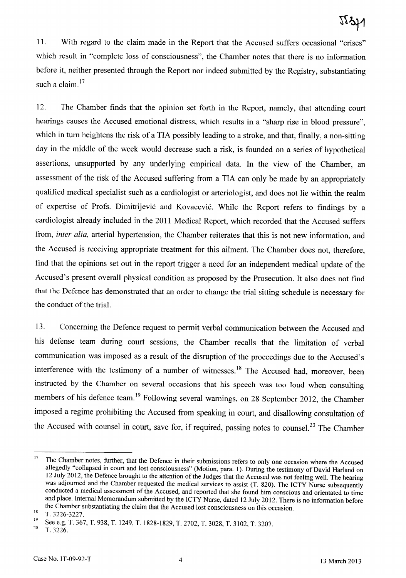11. With regard to the claim made in the Report that the Accused suffers occasional "crises" which result in "complete loss of consciousness", the Chamber notes that there is no information before it, neither presented through the Report nor indeed submitted by the Registry, substantiating such a claim. $17$ 

12. The Chamber finds that the opinion set forth in the Report, namely, that attending court hearings causes the Accused emotional distress, which results in a "sharp rise in blood pressure", which in tum heightens the risk of a TIA possibly leading to a stroke, and that, finally, a non-sitting day in the middle of the week would decrease such a risk, is founded on a series of hypothetical assertions, unsupported by any underlying empirical data. **In** the view of the Chamber, an assessment of the risk of the Accused suffering from a TIA can only be made by an appropriately qualified medical specialist such as a cardiologist or arteriologist, and does not lie within the realm of expertise of Profs. Dimitrijevic and Kovacevic. While the Report refers to findings by a cardiologist already included in the 2011 Medical Report, which recorded that the Accused suffers from, *inter alia,* arterial hypertension, the Chamber reiterates that this is not new information, and the Accused is receiving appropriate treatment for this ailment. The Chamber does not, therefore, find that the opinions set out in the report trigger a need for an independent medical update of the Accused's present overall physical condition as proposed by the Prosecution. It also does not find that the Defence has demonstrated that an order to change the trial sitting schedule is necessary for the conduct of the trial.

13. Concerning the Defence request to permit verbal communication between the Accused and his defense team during court sessions, the Chamber recalls that the limitation of verbal communication was imposed as a result of the disruption of the proceedings due to the Accused's interference with the testimony of a number of witnesses.<sup>18</sup> The Accused had, moreover, been instructed by the Chamber on several occasions that his speech was too loud when consulting members of his defence team.<sup>19</sup> Following several warnings, on 28 September 2012, the Chamber imposed a regime prohibiting the Accused from speaking in court, and disallowing consultation of the Accused with counsel in court, save for, if required, passing notes to counsel.<sup>20</sup> The Chamber

<sup>&</sup>lt;sup>17</sup> The Chamber notes, further, that the Defence in their submissions refers to only one occasion where the Accused allegedly "collapsed in court and lost consciousness" (Motion, para. I). During the testimony of David Harland on 12 July 2012, the Defence brought to the attention of the Judges that the Accused was not feeling well. The hearing was adjourned and the Chamber requested the medical services to assist (T. 820). The ICTY Nurse subsequently conducted a medical assessment of the Accused, and reported that she found him conscious and orientated to time and place. Internal Memorandum submitted by the ICTY Nurse, dated 12 July 2012. There is no information before the Chamber substantiating the claim that the Accused lost consciousness on this occasion.

 $^{18}$  T. 3226-3227.

<sup>&</sup>lt;sup>19</sup>See e.g. T. 367, T. 938, T. 1249, T. 1828-1829, T. 2702, T. 3028, T. 3102, T. 3207.<br>
<sup>20</sup> T. 2226

<sup>20</sup>*T.3226.*